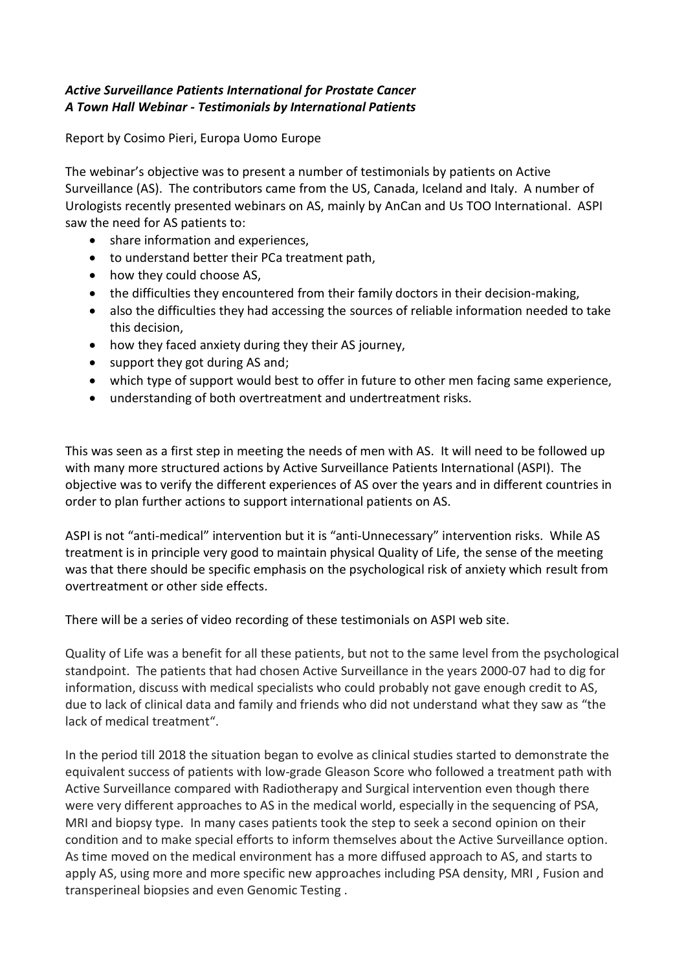## *Active Surveillance Patients International for Prostate Cancer A Town Hall Webinar - Testimonials by International Patients*

Report by Cosimo Pieri, Europa Uomo Europe

The webinar's objective was to present a number of testimonials by patients on Active Surveillance (AS). The contributors came from the US, Canada, Iceland and Italy. A number of Urologists recently presented webinars on AS, mainly by AnCan and Us TOO International. ASPI saw the need for AS patients to:

- share information and experiences,
- to understand better their PCa treatment path,
- how they could choose AS,
- the difficulties they encountered from their family doctors in their decision-making,
- also the difficulties they had accessing the sources of reliable information needed to take this decision,
- how they faced anxiety during they their AS journey,
- support they got during AS and;
- which type of support would best to offer in future to other men facing same experience,
- understanding of both overtreatment and undertreatment risks.

This was seen as a first step in meeting the needs of men with AS. It will need to be followed up with many more structured actions by Active Surveillance Patients International (ASPI). The objective was to verify the different experiences of AS over the years and in different countries in order to plan further actions to support international patients on AS.

ASPI is not "anti-medical" intervention but it is "anti-Unnecessary" intervention risks. While AS treatment is in principle very good to maintain physical Quality of Life, the sense of the meeting was that there should be specific emphasis on the psychological risk of anxiety which result from overtreatment or other side effects.

There will be a series of video recording of these testimonials on ASPI web site.

Quality of Life was a benefit for all these patients, but not to the same level from the psychological standpoint. The patients that had chosen Active Surveillance in the years 2000-07 had to dig for information, discuss with medical specialists who could probably not gave enough credit to AS, due to lack of clinical data and family and friends who did not understand what they saw as "the lack of medical treatment".

In the period till 2018 the situation began to evolve as clinical studies started to demonstrate the equivalent success of patients with low-grade Gleason Score who followed a treatment path with Active Surveillance compared with Radiotherapy and Surgical intervention even though there were very different approaches to AS in the medical world, especially in the sequencing of PSA, MRI and biopsy type. In many cases patients took the step to seek a second opinion on their condition and to make special efforts to inform themselves about the Active Surveillance option. As time moved on the medical environment has a more diffused approach to AS, and starts to apply AS, using more and more specific new approaches including PSA density, MRI , Fusion and transperineal biopsies and even Genomic Testing .